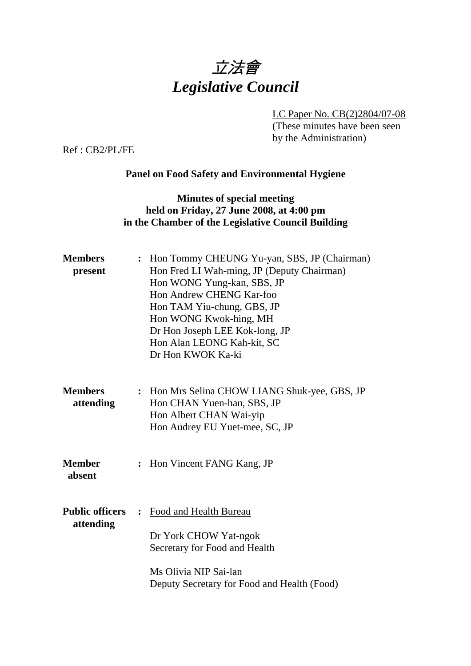

LC Paper No. CB(2)2804/07-08

(These minutes have been seen by the Administration)

Ref : CB2/PL/FE

## **Panel on Food Safety and Environmental Hygiene**

# **Minutes of special meeting held on Friday, 27 June 2008, at 4:00 pm in the Chamber of the Legislative Council Building**

| <b>Members</b><br>present           |                | : Hon Tommy CHEUNG Yu-yan, SBS, JP (Chairman)<br>Hon Fred LI Wah-ming, JP (Deputy Chairman)<br>Hon WONG Yung-kan, SBS, JP<br>Hon Andrew CHENG Kar-foo<br>Hon TAM Yiu-chung, GBS, JP<br>Hon WONG Kwok-hing, MH<br>Dr Hon Joseph LEE Kok-long, JP<br>Hon Alan LEONG Kah-kit, SC<br>Dr Hon KWOK Ka-ki |
|-------------------------------------|----------------|----------------------------------------------------------------------------------------------------------------------------------------------------------------------------------------------------------------------------------------------------------------------------------------------------|
| <b>Members</b><br>attending         |                | : Hon Mrs Selina CHOW LIANG Shuk-yee, GBS, JP<br>Hon CHAN Yuen-han, SBS, JP<br>Hon Albert CHAN Wai-yip<br>Hon Audrey EU Yuet-mee, SC, JP                                                                                                                                                           |
| <b>Member</b><br>absent             |                | : Hon Vincent FANG Kang, JP                                                                                                                                                                                                                                                                        |
| <b>Public officers</b><br>attending | $\ddot{\cdot}$ | Food and Health Bureau<br>Dr York CHOW Yat-ngok<br>Secretary for Food and Health<br>Ms Olivia NIP Sai-lan<br>Deputy Secretary for Food and Health (Food)                                                                                                                                           |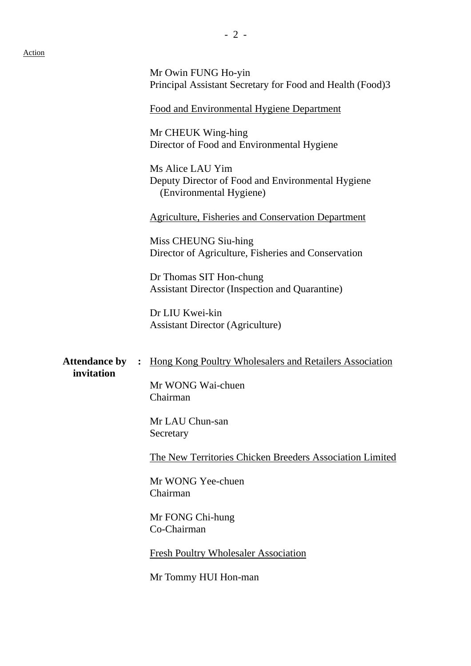| ı. | L |
|----|---|
|    |   |

Mr Owin FUNG Ho-yin Principal Assistant Secretary for Food and Health (Food)3 Food and Environmental Hygiene Department Mr CHEUK Wing-hing Director of Food and Environmental Hygiene Ms Alice LAU Yim Deputy Director of Food and Environmental Hygiene (Environmental Hygiene) Agriculture, Fisheries and Conservation Department Miss CHEUNG Siu-hing Director of Agriculture, Fisheries and Conservation Dr Thomas SIT Hon-chung Assistant Director (Inspection and Quarantine) Dr LIU Kwei-kin Assistant Director (Agriculture) Attendance by : Hong Kong Poultry Wholesalers and Retailers Association **invitation** Mr WONG Wai-chuen Chairman Mr LAU Chun-san Secretary The New Territories Chicken Breeders Association Limited Mr WONG Yee-chuen Chairman Mr FONG Chi-hung Co-Chairman Fresh Poultry Wholesaler Association Mr Tommy HUI Hon-man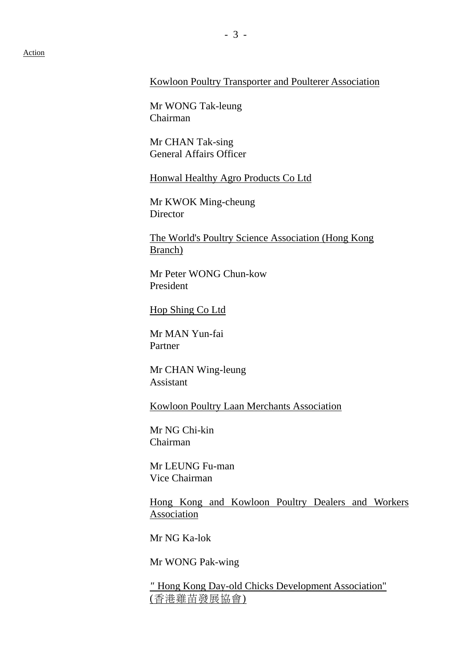#### Kowloon Poultry Transporter and Poulterer Association

Mr WONG Tak-leung Chairman

Mr CHAN Tak-sing General Affairs Officer

Honwal Healthy Agro Products Co Ltd

Mr KWOK Ming-cheung **Director** 

The World's Poultry Science Association (Hong Kong Branch)

Mr Peter WONG Chun-kow President

Hop Shing Co Ltd

Mr MAN Yun-fai Partner

Mr CHAN Wing-leung Assistant

Kowloon Poultry Laan Merchants Association

Mr NG Chi-kin Chairman

Mr LEUNG Fu-man Vice Chairman

Hong Kong and Kowloon Poultry Dealers and Workers Association

Mr NG Ka-lok

Mr WONG Pak-wing

*"* Hong Kong Day-old Chicks Development Association" (香港雞苗發展協會)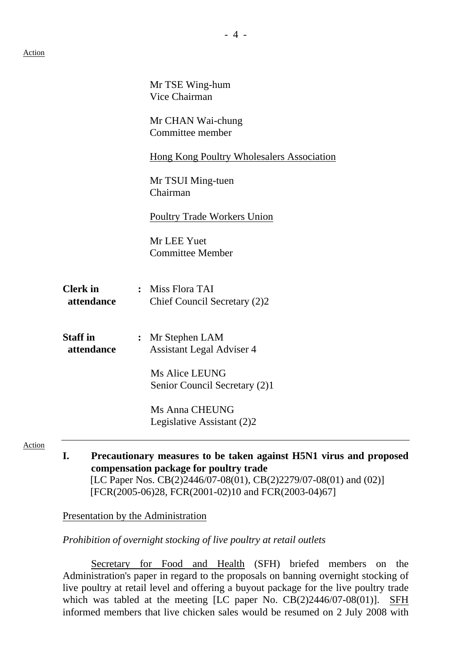|                               | Mr TSE Wing-hum<br>Vice Chairman                       |  |
|-------------------------------|--------------------------------------------------------|--|
|                               | Mr CHAN Wai-chung<br>Committee member                  |  |
|                               | <b>Hong Kong Poultry Wholesalers Association</b>       |  |
|                               | Mr TSUI Ming-tuen<br>Chairman                          |  |
|                               | <b>Poultry Trade Workers Union</b>                     |  |
|                               | Mr LEE Yuet<br><b>Committee Member</b>                 |  |
| <b>Clerk</b> in<br>attendance | : Miss Flora TAI<br>Chief Council Secretary (2)2       |  |
| <b>Staff</b> in<br>attendance | : Mr Stephen LAM<br><b>Assistant Legal Adviser 4</b>   |  |
|                               | <b>Ms Alice LEUNG</b><br>Senior Council Secretary (2)1 |  |
|                               | <b>Ms Anna CHEUNG</b><br>Legislative Assistant (2)2    |  |
|                               |                                                        |  |

**I. Precautionary measures to be taken against H5N1 virus and proposed compensation package for poultry trade**  [LC Paper Nos. CB(2)2446/07-08(01), CB(2)2279/07-08(01) and (02)] [FCR(2005-06)28, FCR(2001-02)10 and FCR(2003-04)67]

#### Presentation by the Administration

#### *Prohibition of overnight stocking of live poultry at retail outlets*

Secretary for Food and Health (SFH) briefed members on the Administration's paper in regard to the proposals on banning overnight stocking of live poultry at retail level and offering a buyout package for the live poultry trade which was tabled at the meeting [LC paper No. CB(2)2446/07-08(01)]. SFH informed members that live chicken sales would be resumed on 2 July 2008 with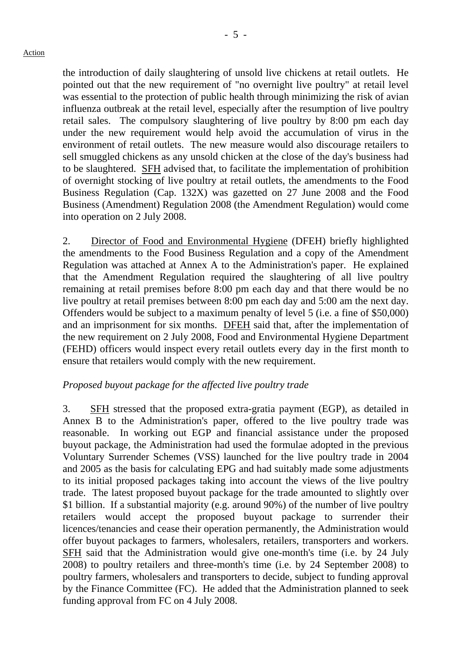- 5 -

the introduction of daily slaughtering of unsold live chickens at retail outlets. He pointed out that the new requirement of "no overnight live poultry" at retail level was essential to the protection of public health through minimizing the risk of avian influenza outbreak at the retail level, especially after the resumption of live poultry retail sales. The compulsory slaughtering of live poultry by 8:00 pm each day under the new requirement would help avoid the accumulation of virus in the environment of retail outlets. The new measure would also discourage retailers to sell smuggled chickens as any unsold chicken at the close of the day's business had to be slaughtered. SFH advised that, to facilitate the implementation of prohibition of overnight stocking of live poultry at retail outlets, the amendments to the Food Business Regulation (Cap. 132X) was gazetted on 27 June 2008 and the Food Business (Amendment) Regulation 2008 (the Amendment Regulation) would come into operation on 2 July 2008.

2. Director of Food and Environmental Hygiene (DFEH) briefly highlighted the amendments to the Food Business Regulation and a copy of the Amendment Regulation was attached at Annex A to the Administration's paper. He explained that the Amendment Regulation required the slaughtering of all live poultry remaining at retail premises before 8:00 pm each day and that there would be no live poultry at retail premises between 8:00 pm each day and 5:00 am the next day. Offenders would be subject to a maximum penalty of level 5 (i.e. a fine of \$50,000) and an imprisonment for six months. DFEH said that, after the implementation of the new requirement on 2 July 2008, Food and Environmental Hygiene Department (FEHD) officers would inspect every retail outlets every day in the first month to ensure that retailers would comply with the new requirement.

# *Proposed buyout package for the affected live poultry trade*

3. SFH stressed that the proposed extra-gratia payment (EGP), as detailed in Annex B to the Administration's paper, offered to the live poultry trade was reasonable. In working out EGP and financial assistance under the proposed buyout package, the Administration had used the formulae adopted in the previous Voluntary Surrender Schemes (VSS) launched for the live poultry trade in 2004 and 2005 as the basis for calculating EPG and had suitably made some adjustments to its initial proposed packages taking into account the views of the live poultry trade. The latest proposed buyout package for the trade amounted to slightly over \$1 billion. If a substantial majority (e.g. around 90%) of the number of live poultry retailers would accept the proposed buyout package to surrender their licences/tenancies and cease their operation permanently, the Administration would offer buyout packages to farmers, wholesalers, retailers, transporters and workers. SFH said that the Administration would give one-month's time (i.e. by 24 July 2008) to poultry retailers and three-month's time (i.e. by 24 September 2008) to poultry farmers, wholesalers and transporters to decide, subject to funding approval by the Finance Committee (FC). He added that the Administration planned to seek funding approval from FC on 4 July 2008.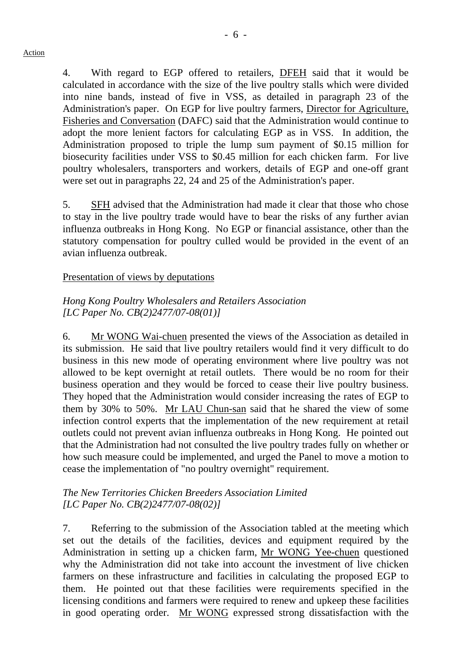4. With regard to EGP offered to retailers, DFEH said that it would be calculated in accordance with the size of the live poultry stalls which were divided into nine bands, instead of five in VSS, as detailed in paragraph 23 of the Administration's paper. On EGP for live poultry farmers, Director for Agriculture, Fisheries and Conversation (DAFC) said that the Administration would continue to adopt the more lenient factors for calculating EGP as in VSS. In addition, the Administration proposed to triple the lump sum payment of \$0.15 million for biosecurity facilities under VSS to \$0.45 million for each chicken farm. For live poultry wholesalers, transporters and workers, details of EGP and one-off grant were set out in paragraphs 22, 24 and 25 of the Administration's paper.

5. SFH advised that the Administration had made it clear that those who chose to stay in the live poultry trade would have to bear the risks of any further avian influenza outbreaks in Hong Kong. No EGP or financial assistance, other than the statutory compensation for poultry culled would be provided in the event of an avian influenza outbreak.

## Presentation of views by deputations

# *Hong Kong Poultry Wholesalers and Retailers Association [LC Paper No. CB(2)2477/07-08(01)]*

6. Mr WONG Wai-chuen presented the views of the Association as detailed in its submission. He said that live poultry retailers would find it very difficult to do business in this new mode of operating environment where live poultry was not allowed to be kept overnight at retail outlets. There would be no room for their business operation and they would be forced to cease their live poultry business. They hoped that the Administration would consider increasing the rates of EGP to them by 30% to 50%. Mr LAU Chun-san said that he shared the view of some infection control experts that the implementation of the new requirement at retail outlets could not prevent avian influenza outbreaks in Hong Kong. He pointed out that the Administration had not consulted the live poultry trades fully on whether or how such measure could be implemented, and urged the Panel to move a motion to cease the implementation of "no poultry overnight" requirement.

## *The New Territories Chicken Breeders Association Limited [LC Paper No. CB(2)2477/07-08(02)]*

7. Referring to the submission of the Association tabled at the meeting which set out the details of the facilities, devices and equipment required by the Administration in setting up a chicken farm, Mr WONG Yee-chuen questioned why the Administration did not take into account the investment of live chicken farmers on these infrastructure and facilities in calculating the proposed EGP to them. He pointed out that these facilities were requirements specified in the licensing conditions and farmers were required to renew and upkeep these facilities in good operating order. Mr WONG expressed strong dissatisfaction with the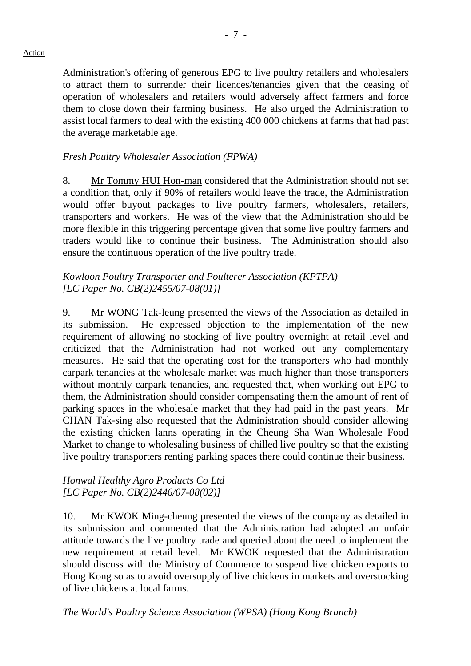Administration's offering of generous EPG to live poultry retailers and wholesalers to attract them to surrender their licences/tenancies given that the ceasing of operation of wholesalers and retailers would adversely affect farmers and force them to close down their farming business. He also urged the Administration to assist local farmers to deal with the existing 400 000 chickens at farms that had past the average marketable age.

#### *Fresh Poultry Wholesaler Association (FPWA)*

8. Mr Tommy HUI Hon-man considered that the Administration should not set a condition that, only if 90% of retailers would leave the trade, the Administration would offer buyout packages to live poultry farmers, wholesalers, retailers, transporters and workers. He was of the view that the Administration should be more flexible in this triggering percentage given that some live poultry farmers and traders would like to continue their business. The Administration should also ensure the continuous operation of the live poultry trade.

## *Kowloon Poultry Transporter and Poulterer Association (KPTPA) [LC Paper No. CB(2)2455/07-08(01)]*

9. Mr WONG Tak-leung presented the views of the Association as detailed in its submission. He expressed objection to the implementation of the new requirement of allowing no stocking of live poultry overnight at retail level and criticized that the Administration had not worked out any complementary measures. He said that the operating cost for the transporters who had monthly carpark tenancies at the wholesale market was much higher than those transporters without monthly carpark tenancies, and requested that, when working out EPG to them, the Administration should consider compensating them the amount of rent of parking spaces in the wholesale market that they had paid in the past years. Mr CHAN Tak-sing also requested that the Administration should consider allowing the existing chicken lanns operating in the Cheung Sha Wan Wholesale Food Market to change to wholesaling business of chilled live poultry so that the existing live poultry transporters renting parking spaces there could continue their business.

#### *Honwal Healthy Agro Products Co Ltd [LC Paper No. CB(2)2446/07-08(02)]*

10. Mr KWOK Ming-cheung presented the views of the company as detailed in its submission and commented that the Administration had adopted an unfair attitude towards the live poultry trade and queried about the need to implement the new requirement at retail level. Mr KWOK requested that the Administration should discuss with the Ministry of Commerce to suspend live chicken exports to Hong Kong so as to avoid oversupply of live chickens in markets and overstocking of live chickens at local farms.

*The World's Poultry Science Association (WPSA) (Hong Kong Branch)*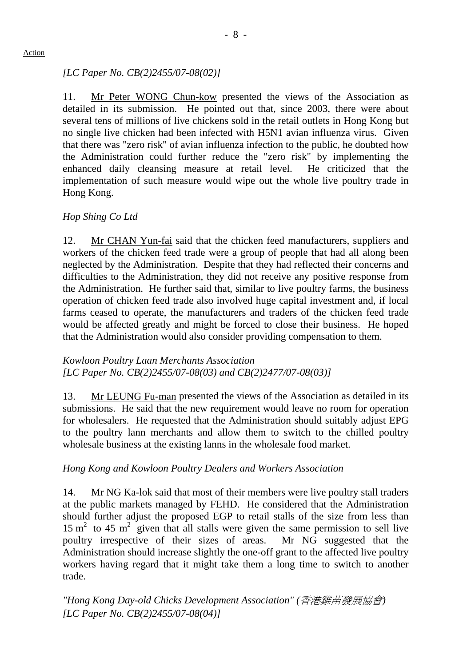## *[LC Paper No. CB(2)2455/07-08(02)]*

11. Mr Peter WONG Chun-kow presented the views of the Association as detailed in its submission. He pointed out that, since 2003, there were about several tens of millions of live chickens sold in the retail outlets in Hong Kong but no single live chicken had been infected with H5N1 avian influenza virus. Given that there was "zero risk" of avian influenza infection to the public, he doubted how the Administration could further reduce the "zero risk" by implementing the enhanced daily cleansing measure at retail level. He criticized that the implementation of such measure would wipe out the whole live poultry trade in Hong Kong.

# *Hop Shing Co Ltd*

12. Mr CHAN Yun-fai said that the chicken feed manufacturers, suppliers and workers of the chicken feed trade were a group of people that had all along been neglected by the Administration. Despite that they had reflected their concerns and difficulties to the Administration, they did not receive any positive response from the Administration. He further said that, similar to live poultry farms, the business operation of chicken feed trade also involved huge capital investment and, if local farms ceased to operate, the manufacturers and traders of the chicken feed trade would be affected greatly and might be forced to close their business. He hoped that the Administration would also consider providing compensation to them.

*Kowloon Poultry Laan Merchants Association [LC Paper No. CB(2)2455/07-08(03) and CB(2)2477/07-08(03)]* 

13. Mr LEUNG Fu-man presented the views of the Association as detailed in its submissions. He said that the new requirement would leave no room for operation for wholesalers. He requested that the Administration should suitably adjust EPG to the poultry lann merchants and allow them to switch to the chilled poultry wholesale business at the existing lanns in the wholesale food market.

## *Hong Kong and Kowloon Poultry Dealers and Workers Association*

14. Mr NG Ka-lok said that most of their members were live poultry stall traders at the public markets managed by FEHD. He considered that the Administration should further adjust the proposed EGP to retail stalls of the size from less than  $15 \text{ m}^2$  to 45 m<sup>2</sup> given that all stalls were given the same permission to sell live poultry irrespective of their sizes of areas. Mr NG suggested that the Administration should increase slightly the one-off grant to the affected live poultry workers having regard that it might take them a long time to switch to another trade.

*"Hong Kong Day-old Chicks Development Association" (*香港雞苗發展協會*) [LC Paper No. CB(2)2455/07-08(04)]*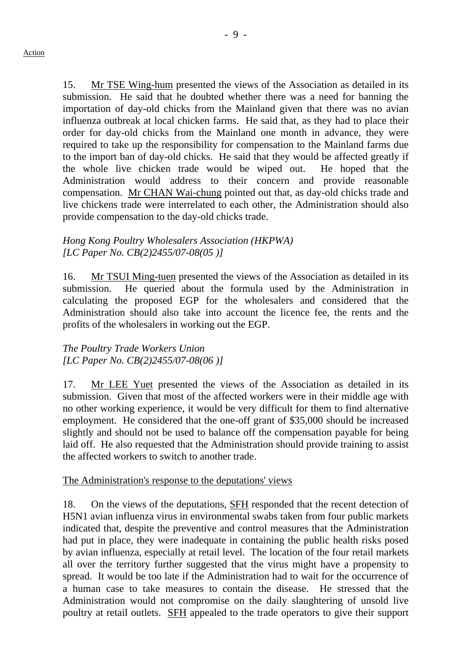- 9 -

15. Mr TSE Wing-hum presented the views of the Association as detailed in its submission. He said that he doubted whether there was a need for banning the importation of day-old chicks from the Mainland given that there was no avian influenza outbreak at local chicken farms. He said that, as they had to place their order for day-old chicks from the Mainland one month in advance, they were required to take up the responsibility for compensation to the Mainland farms due to the import ban of day-old chicks. He said that they would be affected greatly if the whole live chicken trade would be wiped out. He hoped that the Administration would address to their concern and provide reasonable compensation. Mr CHAN Wai-chung pointed out that, as day-old chicks trade and live chickens trade were interrelated to each other, the Administration should also provide compensation to the day-old chicks trade.

## *Hong Kong Poultry Wholesalers Association (HKPWA) [LC Paper No. CB(2)2455/07-08(05 )]*

16. Mr TSUI Ming-tuen presented the views of the Association as detailed in its submission. He queried about the formula used by the Administration in calculating the proposed EGP for the wholesalers and considered that the Administration should also take into account the licence fee, the rents and the profits of the wholesalers in working out the EGP.

# *The Poultry Trade Workers Union [LC Paper No. CB(2)2455/07-08(06 )]*

17. Mr LEE Yuet presented the views of the Association as detailed in its submission. Given that most of the affected workers were in their middle age with no other working experience, it would be very difficult for them to find alternative employment. He considered that the one-off grant of \$35,000 should be increased slightly and should not be used to balance off the compensation payable for being laid off. He also requested that the Administration should provide training to assist the affected workers to switch to another trade.

# The Administration's response to the deputations' views

18. On the views of the deputations, SFH responded that the recent detection of H5N1 avian influenza virus in environmental swabs taken from four public markets indicated that, despite the preventive and control measures that the Administration had put in place, they were inadequate in containing the public health risks posed by avian influenza, especially at retail level. The location of the four retail markets all over the territory further suggested that the virus might have a propensity to spread. It would be too late if the Administration had to wait for the occurrence of a human case to take measures to contain the disease. He stressed that the Administration would not compromise on the daily slaughtering of unsold live poultry at retail outlets. SFH appealed to the trade operators to give their support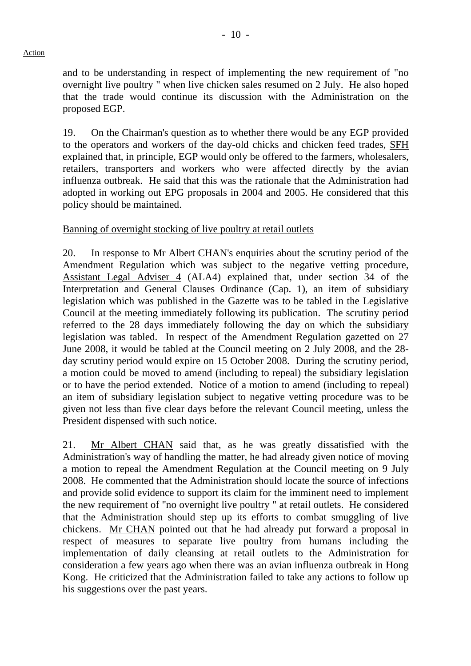and to be understanding in respect of implementing the new requirement of "no overnight live poultry " when live chicken sales resumed on 2 July. He also hoped that the trade would continue its discussion with the Administration on the proposed EGP.

19. On the Chairman's question as to whether there would be any EGP provided to the operators and workers of the day-old chicks and chicken feed trades, SFH explained that, in principle, EGP would only be offered to the farmers, wholesalers, retailers, transporters and workers who were affected directly by the avian influenza outbreak. He said that this was the rationale that the Administration had adopted in working out EPG proposals in 2004 and 2005. He considered that this policy should be maintained.

#### Banning of overnight stocking of live poultry at retail outlets

20. In response to Mr Albert CHAN's enquiries about the scrutiny period of the Amendment Regulation which was subject to the negative vetting procedure, Assistant Legal Adviser 4 (ALA4) explained that, under section 34 of the Interpretation and General Clauses Ordinance (Cap. 1), an item of subsidiary legislation which was published in the Gazette was to be tabled in the Legislative Council at the meeting immediately following its publication. The scrutiny period referred to the 28 days immediately following the day on which the subsidiary legislation was tabled. In respect of the Amendment Regulation gazetted on 27 June 2008, it would be tabled at the Council meeting on 2 July 2008, and the 28 day scrutiny period would expire on 15 October 2008. During the scrutiny period, a motion could be moved to amend (including to repeal) the subsidiary legislation or to have the period extended. Notice of a motion to amend (including to repeal) an item of subsidiary legislation subject to negative vetting procedure was to be given not less than five clear days before the relevant Council meeting, unless the President dispensed with such notice.

21. Mr Albert CHAN said that, as he was greatly dissatisfied with the Administration's way of handling the matter, he had already given notice of moving a motion to repeal the Amendment Regulation at the Council meeting on 9 July 2008. He commented that the Administration should locate the source of infections and provide solid evidence to support its claim for the imminent need to implement the new requirement of "no overnight live poultry " at retail outlets. He considered that the Administration should step up its efforts to combat smuggling of live chickens. Mr CHAN pointed out that he had already put forward a proposal in respect of measures to separate live poultry from humans including the implementation of daily cleansing at retail outlets to the Administration for consideration a few years ago when there was an avian influenza outbreak in Hong Kong. He criticized that the Administration failed to take any actions to follow up his suggestions over the past years.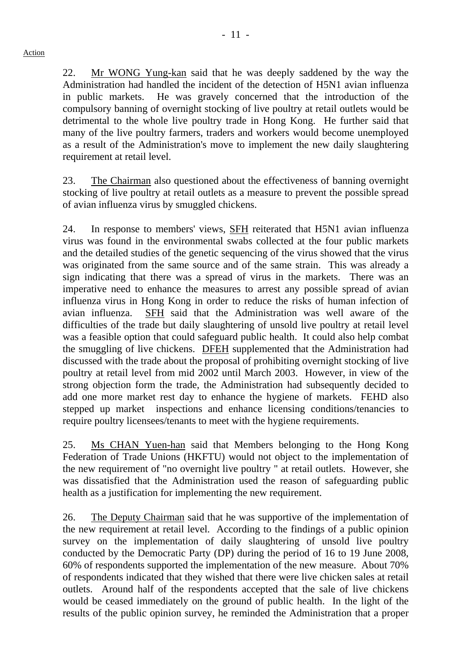22. Mr WONG Yung-kan said that he was deeply saddened by the way the Administration had handled the incident of the detection of H5N1 avian influenza in public markets. He was gravely concerned that the introduction of the compulsory banning of overnight stocking of live poultry at retail outlets would be detrimental to the whole live poultry trade in Hong Kong. He further said that many of the live poultry farmers, traders and workers would become unemployed as a result of the Administration's move to implement the new daily slaughtering requirement at retail level.

23. The Chairman also questioned about the effectiveness of banning overnight stocking of live poultry at retail outlets as a measure to prevent the possible spread of avian influenza virus by smuggled chickens.

24. In response to members' views, SFH reiterated that H5N1 avian influenza virus was found in the environmental swabs collected at the four public markets and the detailed studies of the genetic sequencing of the virus showed that the virus was originated from the same source and of the same strain. This was already a sign indicating that there was a spread of virus in the markets. There was an imperative need to enhance the measures to arrest any possible spread of avian influenza virus in Hong Kong in order to reduce the risks of human infection of avian influenza. SFH said that the Administration was well aware of the difficulties of the trade but daily slaughtering of unsold live poultry at retail level was a feasible option that could safeguard public health. It could also help combat the smuggling of live chickens. DFEH supplemented that the Administration had discussed with the trade about the proposal of prohibiting overnight stocking of live poultry at retail level from mid 2002 until March 2003. However, in view of the strong objection form the trade, the Administration had subsequently decided to add one more market rest day to enhance the hygiene of markets. FEHD also stepped up market inspections and enhance licensing conditions/tenancies to require poultry licensees/tenants to meet with the hygiene requirements.

25. Ms CHAN Yuen-han said that Members belonging to the Hong Kong Federation of Trade Unions (HKFTU) would not object to the implementation of the new requirement of "no overnight live poultry " at retail outlets. However, she was dissatisfied that the Administration used the reason of safeguarding public health as a justification for implementing the new requirement.

26. The Deputy Chairman said that he was supportive of the implementation of the new requirement at retail level. According to the findings of a public opinion survey on the implementation of daily slaughtering of unsold live poultry conducted by the Democratic Party (DP) during the period of 16 to 19 June 2008, 60% of respondents supported the implementation of the new measure. About 70% of respondents indicated that they wished that there were live chicken sales at retail outlets. Around half of the respondents accepted that the sale of live chickens would be ceased immediately on the ground of public health. In the light of the results of the public opinion survey, he reminded the Administration that a proper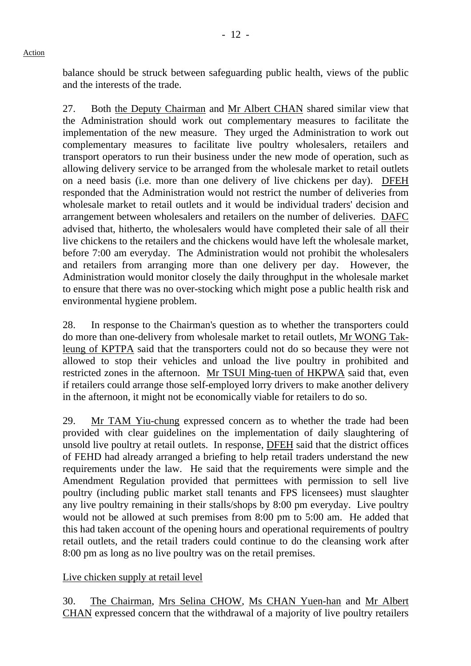balance should be struck between safeguarding public health, views of the public and the interests of the trade.

27. Both the Deputy Chairman and Mr Albert CHAN shared similar view that the Administration should work out complementary measures to facilitate the implementation of the new measure. They urged the Administration to work out complementary measures to facilitate live poultry wholesalers, retailers and transport operators to run their business under the new mode of operation, such as allowing delivery service to be arranged from the wholesale market to retail outlets on a need basis (i.e. more than one delivery of live chickens per day). DFEH responded that the Administration would not restrict the number of deliveries from wholesale market to retail outlets and it would be individual traders' decision and arrangement between wholesalers and retailers on the number of deliveries. DAFC advised that, hitherto, the wholesalers would have completed their sale of all their live chickens to the retailers and the chickens would have left the wholesale market, before 7:00 am everyday. The Administration would not prohibit the wholesalers and retailers from arranging more than one delivery per day. However, the Administration would monitor closely the daily throughput in the wholesale market to ensure that there was no over-stocking which might pose a public health risk and environmental hygiene problem.

28. In response to the Chairman's question as to whether the transporters could do more than one-delivery from wholesale market to retail outlets, Mr WONG Takleung of KPTPA said that the transporters could not do so because they were not allowed to stop their vehicles and unload the live poultry in prohibited and restricted zones in the afternoon. Mr TSUI Ming-tuen of HKPWA said that, even if retailers could arrange those self-employed lorry drivers to make another delivery in the afternoon, it might not be economically viable for retailers to do so.

29. Mr TAM Yiu-chung expressed concern as to whether the trade had been provided with clear guidelines on the implementation of daily slaughtering of unsold live poultry at retail outlets. In response, DFEH said that the district offices of FEHD had already arranged a briefing to help retail traders understand the new requirements under the law. He said that the requirements were simple and the Amendment Regulation provided that permittees with permission to sell live poultry (including public market stall tenants and FPS licensees) must slaughter any live poultry remaining in their stalls/shops by 8:00 pm everyday. Live poultry would not be allowed at such premises from 8:00 pm to 5:00 am. He added that this had taken account of the opening hours and operational requirements of poultry retail outlets, and the retail traders could continue to do the cleansing work after 8:00 pm as long as no live poultry was on the retail premises.

Live chicken supply at retail level

30. The Chairman, Mrs Selina CHOW, Ms CHAN Yuen-han and Mr Albert CHAN expressed concern that the withdrawal of a majority of live poultry retailers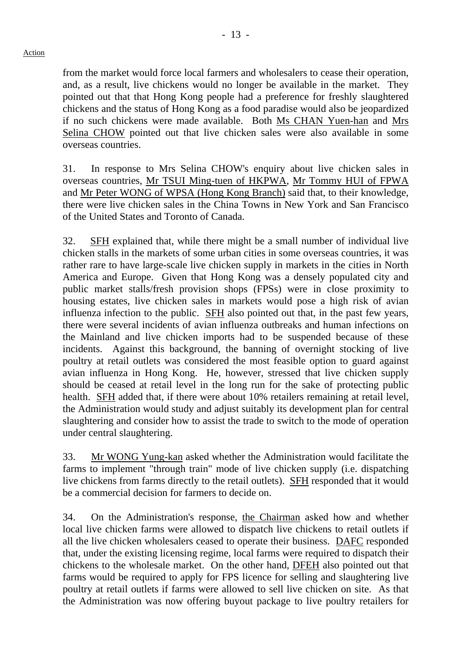from the market would force local farmers and wholesalers to cease their operation, and, as a result, live chickens would no longer be available in the market. They pointed out that that Hong Kong people had a preference for freshly slaughtered chickens and the status of Hong Kong as a food paradise would also be jeopardized if no such chickens were made available. Both Ms CHAN Yuen-han and Mrs Selina CHOW pointed out that live chicken sales were also available in some overseas countries.

31. In response to Mrs Selina CHOW's enquiry about live chicken sales in overseas countries, Mr TSUI Ming-tuen of HKPWA, Mr Tommy HUI of FPWA and Mr Peter WONG of WPSA (Hong Kong Branch) said that, to their knowledge, there were live chicken sales in the China Towns in New York and San Francisco of the United States and Toronto of Canada.

32. SFH explained that, while there might be a small number of individual live chicken stalls in the markets of some urban cities in some overseas countries, it was rather rare to have large-scale live chicken supply in markets in the cities in North America and Europe. Given that Hong Kong was a densely populated city and public market stalls/fresh provision shops (FPSs) were in close proximity to housing estates, live chicken sales in markets would pose a high risk of avian influenza infection to the public. SFH also pointed out that, in the past few years, there were several incidents of avian influenza outbreaks and human infections on the Mainland and live chicken imports had to be suspended because of these incidents. Against this background, the banning of overnight stocking of live poultry at retail outlets was considered the most feasible option to guard against avian influenza in Hong Kong. He, however, stressed that live chicken supply should be ceased at retail level in the long run for the sake of protecting public health. SFH added that, if there were about 10% retailers remaining at retail level, the Administration would study and adjust suitably its development plan for central slaughtering and consider how to assist the trade to switch to the mode of operation under central slaughtering.

33. Mr WONG Yung-kan asked whether the Administration would facilitate the farms to implement "through train" mode of live chicken supply (i.e. dispatching live chickens from farms directly to the retail outlets). SFH responded that it would be a commercial decision for farmers to decide on.

34. On the Administration's response, the Chairman asked how and whether local live chicken farms were allowed to dispatch live chickens to retail outlets if all the live chicken wholesalers ceased to operate their business. DAFC responded that, under the existing licensing regime, local farms were required to dispatch their chickens to the wholesale market. On the other hand, DFEH also pointed out that farms would be required to apply for FPS licence for selling and slaughtering live poultry at retail outlets if farms were allowed to sell live chicken on site. As that the Administration was now offering buyout package to live poultry retailers for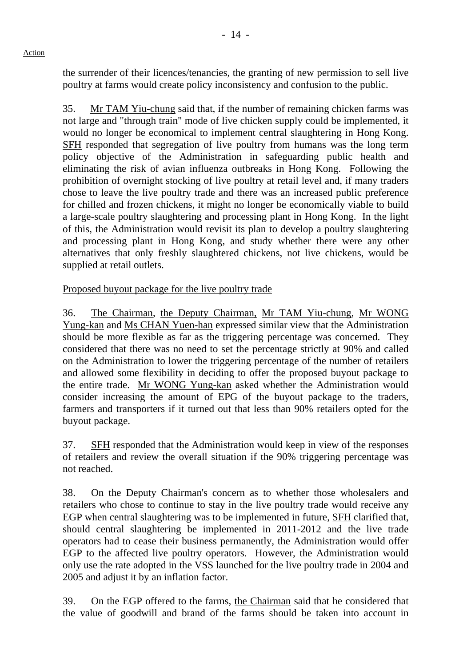the surrender of their licences/tenancies, the granting of new permission to sell live poultry at farms would create policy inconsistency and confusion to the public.

35. Mr TAM Yiu-chung said that, if the number of remaining chicken farms was not large and "through train" mode of live chicken supply could be implemented, it would no longer be economical to implement central slaughtering in Hong Kong. SFH responded that segregation of live poultry from humans was the long term policy objective of the Administration in safeguarding public health and eliminating the risk of avian influenza outbreaks in Hong Kong. Following the prohibition of overnight stocking of live poultry at retail level and, if many traders chose to leave the live poultry trade and there was an increased public preference for chilled and frozen chickens, it might no longer be economically viable to build a large-scale poultry slaughtering and processing plant in Hong Kong. In the light of this, the Administration would revisit its plan to develop a poultry slaughtering and processing plant in Hong Kong, and study whether there were any other alternatives that only freshly slaughtered chickens, not live chickens, would be supplied at retail outlets.

Proposed buyout package for the live poultry trade

36. The Chairman, the Deputy Chairman, Mr TAM Yiu-chung, Mr WONG Yung-kan and Ms CHAN Yuen-han expressed similar view that the Administration should be more flexible as far as the triggering percentage was concerned. They considered that there was no need to set the percentage strictly at 90% and called on the Administration to lower the triggering percentage of the number of retailers and allowed some flexibility in deciding to offer the proposed buyout package to the entire trade. Mr WONG Yung-kan asked whether the Administration would consider increasing the amount of EPG of the buyout package to the traders, farmers and transporters if it turned out that less than 90% retailers opted for the buyout package.

37. SFH responded that the Administration would keep in view of the responses of retailers and review the overall situation if the 90% triggering percentage was not reached.

38. On the Deputy Chairman's concern as to whether those wholesalers and retailers who chose to continue to stay in the live poultry trade would receive any EGP when central slaughtering was to be implemented in future, SFH clarified that, should central slaughtering be implemented in 2011-2012 and the live trade operators had to cease their business permanently, the Administration would offer EGP to the affected live poultry operators. However, the Administration would only use the rate adopted in the VSS launched for the live poultry trade in 2004 and 2005 and adjust it by an inflation factor.

39. On the EGP offered to the farms, the Chairman said that he considered that the value of goodwill and brand of the farms should be taken into account in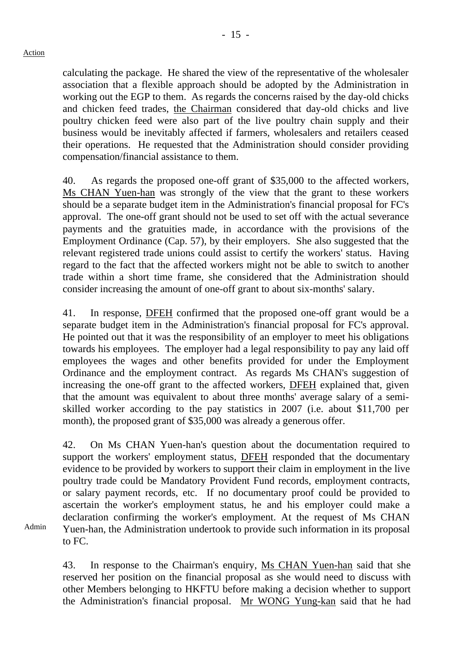calculating the package. He shared the view of the representative of the wholesaler association that a flexible approach should be adopted by the Administration in working out the EGP to them. As regards the concerns raised by the day-old chicks and chicken feed trades, the Chairman considered that day-old chicks and live poultry chicken feed were also part of the live poultry chain supply and their business would be inevitably affected if farmers, wholesalers and retailers ceased their operations. He requested that the Administration should consider providing compensation/financial assistance to them.

40. As regards the proposed one-off grant of \$35,000 to the affected workers, Ms CHAN Yuen-han was strongly of the view that the grant to these workers should be a separate budget item in the Administration's financial proposal for FC's approval. The one-off grant should not be used to set off with the actual severance payments and the gratuities made, in accordance with the provisions of the Employment Ordinance (Cap. 57), by their employers. She also suggested that the relevant registered trade unions could assist to certify the workers' status. Having regard to the fact that the affected workers might not be able to switch to another trade within a short time frame, she considered that the Administration should consider increasing the amount of one-off grant to about six-months' salary.

41. In response, DFEH confirmed that the proposed one-off grant would be a separate budget item in the Administration's financial proposal for FC's approval. He pointed out that it was the responsibility of an employer to meet his obligations towards his employees. The employer had a legal responsibility to pay any laid off employees the wages and other benefits provided for under the Employment Ordinance and the employment contract. As regards Ms CHAN's suggestion of increasing the one-off grant to the affected workers, DFEH explained that, given that the amount was equivalent to about three months' average salary of a semiskilled worker according to the pay statistics in 2007 (i.e. about \$11,700 per month), the proposed grant of \$35,000 was already a generous offer.

42. On Ms CHAN Yuen-han's question about the documentation required to support the workers' employment status, DFEH responded that the documentary evidence to be provided by workers to support their claim in employment in the live poultry trade could be Mandatory Provident Fund records, employment contracts, or salary payment records, etc. If no documentary proof could be provided to ascertain the worker's employment status, he and his employer could make a declaration confirming the worker's employment. At the request of Ms CHAN Yuen-han, the Administration undertook to provide such information in its proposal to FC.

43. In response to the Chairman's enquiry, Ms CHAN Yuen-han said that she reserved her position on the financial proposal as she would need to discuss with other Members belonging to HKFTU before making a decision whether to support the Administration's financial proposal. Mr WONG Yung-kan said that he had

Admin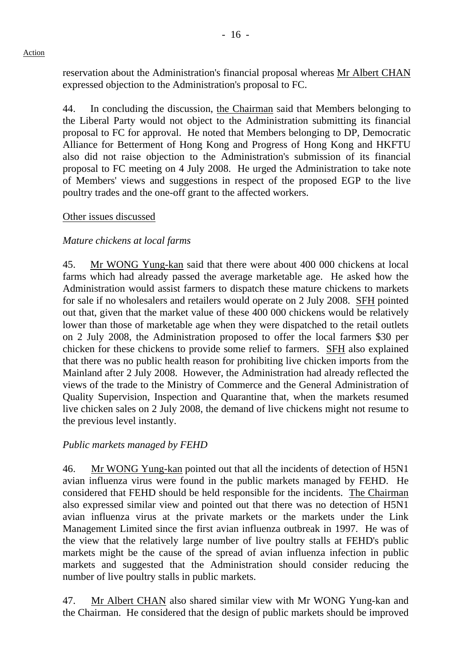44. In concluding the discussion, the Chairman said that Members belonging to the Liberal Party would not object to the Administration submitting its financial proposal to FC for approval. He noted that Members belonging to DP, Democratic Alliance for Betterment of Hong Kong and Progress of Hong Kong and HKFTU also did not raise objection to the Administration's submission of its financial proposal to FC meeting on 4 July 2008. He urged the Administration to take note of Members' views and suggestions in respect of the proposed EGP to the live poultry trades and the one-off grant to the affected workers.

## Other issues discussed

## *Mature chickens at local farms*

45. Mr WONG Yung-kan said that there were about 400 000 chickens at local farms which had already passed the average marketable age. He asked how the Administration would assist farmers to dispatch these mature chickens to markets for sale if no wholesalers and retailers would operate on 2 July 2008. SFH pointed out that, given that the market value of these 400 000 chickens would be relatively lower than those of marketable age when they were dispatched to the retail outlets on 2 July 2008, the Administration proposed to offer the local farmers \$30 per chicken for these chickens to provide some relief to farmers. SFH also explained that there was no public health reason for prohibiting live chicken imports from the Mainland after 2 July 2008. However, the Administration had already reflected the views of the trade to the Ministry of Commerce and the General Administration of Quality Supervision, Inspection and Quarantine that, when the markets resumed live chicken sales on 2 July 2008, the demand of live chickens might not resume to the previous level instantly.

## *Public markets managed by FEHD*

46. Mr WONG Yung-kan pointed out that all the incidents of detection of H5N1 avian influenza virus were found in the public markets managed by FEHD. He considered that FEHD should be held responsible for the incidents. The Chairman also expressed similar view and pointed out that there was no detection of H5N1 avian influenza virus at the private markets or the markets under the Link Management Limited since the first avian influenza outbreak in 1997. He was of the view that the relatively large number of live poultry stalls at FEHD's public markets might be the cause of the spread of avian influenza infection in public markets and suggested that the Administration should consider reducing the number of live poultry stalls in public markets.

47. Mr Albert CHAN also shared similar view with Mr WONG Yung-kan and the Chairman. He considered that the design of public markets should be improved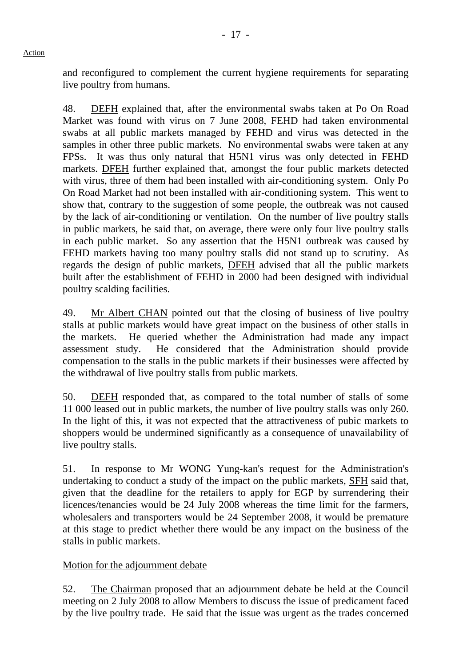and reconfigured to complement the current hygiene requirements for separating live poultry from humans.

48. DEFH explained that, after the environmental swabs taken at Po On Road Market was found with virus on 7 June 2008, FEHD had taken environmental swabs at all public markets managed by FEHD and virus was detected in the samples in other three public markets. No environmental swabs were taken at any FPSs. It was thus only natural that H5N1 virus was only detected in FEHD markets. DFEH further explained that, amongst the four public markets detected with virus, three of them had been installed with air-conditioning system. Only Po On Road Market had not been installed with air-conditioning system. This went to show that, contrary to the suggestion of some people, the outbreak was not caused by the lack of air-conditioning or ventilation. On the number of live poultry stalls in public markets, he said that, on average, there were only four live poultry stalls in each public market. So any assertion that the H5N1 outbreak was caused by FEHD markets having too many poultry stalls did not stand up to scrutiny. As regards the design of public markets, DFEH advised that all the public markets built after the establishment of FEHD in 2000 had been designed with individual poultry scalding facilities.

49. Mr Albert CHAN pointed out that the closing of business of live poultry stalls at public markets would have great impact on the business of other stalls in the markets. He queried whether the Administration had made any impact assessment study. He considered that the Administration should provide compensation to the stalls in the public markets if their businesses were affected by the withdrawal of live poultry stalls from public markets.

50. DEFH responded that, as compared to the total number of stalls of some 11,000 leased out in public markets, the number of live poultry stalls was only 260. In the light of this, it was not expected that the attractiveness of pubic markets to shoppers would be undermined significantly as a consequence of unavailability of live poultry stalls.

51. In response to Mr WONG Yung-kan's request for the Administration's undertaking to conduct a study of the impact on the public markets, SFH said that, given that the deadline for the retailers to apply for EGP by surrendering their licences/tenancies would be 24 July 2008 whereas the time limit for the farmers, wholesalers and transporters would be 24 September 2008, it would be premature at this stage to predict whether there would be any impact on the business of the stalls in public markets.

Motion for the adjournment debate

52. The Chairman proposed that an adjournment debate be held at the Council meeting on 2 July 2008 to allow Members to discuss the issue of predicament faced by the live poultry trade. He said that the issue was urgent as the trades concerned